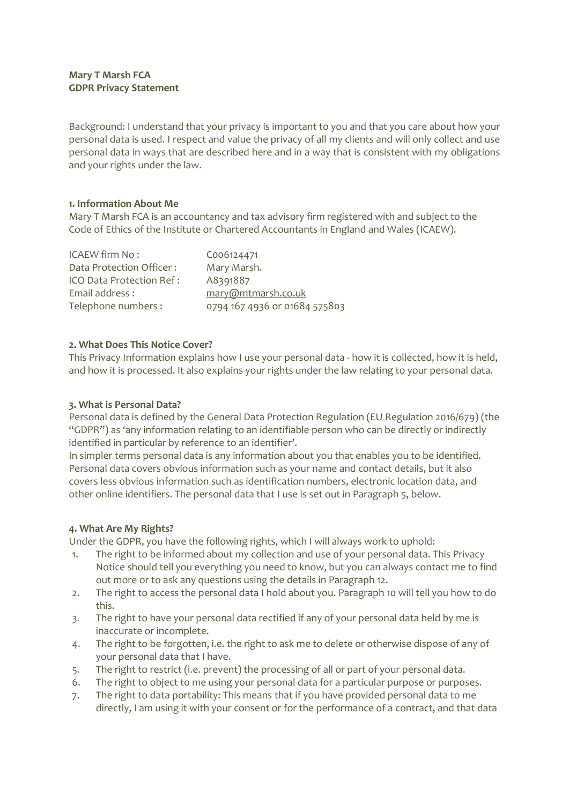# **Mary T Marsh FCA GDPR Privacy Statement**

Background: I understand that your privacy is important to you and that you care about how your personal data is used. I respect and value the privacy of all my clients and will only collect and use personal data in ways that are described here and in a way that is consistent with my obligations and your rights under the law.

# **1. Information About Me**

Mary T Marsh FCA is an accountancy and tax advisory firm registered with and subject to the Code of Ethics of the Institute or Chartered Accountants in England and Wales (ICAEW).

| ICAEW firm No:           | C006124471                    |
|--------------------------|-------------------------------|
| Data Protection Officer: | Mary Marsh.                   |
| ICO Data Protection Ref: | A8391887                      |
| Email address:           | mary@mtmarsh.co.uk            |
| Telephone numbers:       | 0794 167 4936 or 01684 575803 |

## **2. What Does This Notice Cover?**

This Privacy Information explains how I use your personal data - how it is collected, how it is held, and how it is processed. It also explains your rights under the law relating to your personal data.

### **3. What is Personal Data?**

Personal data is defined by the General Data Protection Regulation (EU Regulation 2016/679) (the "GDPR") as 'any information relating to an identifiable person who can be directly or indirectly identified in particular by reference to an identifier'.

In simpler terms personal data is any information about you that enables you to be identified. Personal data covers obvious information such as your name and contact details, but it also covers less obvious information such as identification numbers, electronic location data, and other online identifiers. The personal data that I use is set out in Paragraph 5, below.

### **4. What Are My Rights?**

Under the GDPR, you have the following rights, which I will always work to uphold:

- 1. The right to be informed about my collection and use of your personal data. This Privacy Notice should tell you everything you need to know, but you can always contact me to find out more or to ask any questions using the details in Paragraph 12.
- 2. The right to access the personal data I hold about you. Paragraph 10 will tell you how to do this.
- 3. The right to have your personal data rectified if any of your personal data held by me is inaccurate or incomplete.
- 4. The right to be forgotten, i.e. the right to ask me to delete or otherwise dispose of any of your personal data that I have.
- 5. The right to restrict (i.e. prevent) the processing of all or part of your personal data.
- 6. The right to object to me using your personal data for a particular purpose or purposes.
- 7. The right to data portability: This means that if you have provided personal data to me directly, I am using it with your consent or for the performance of a contract, and that data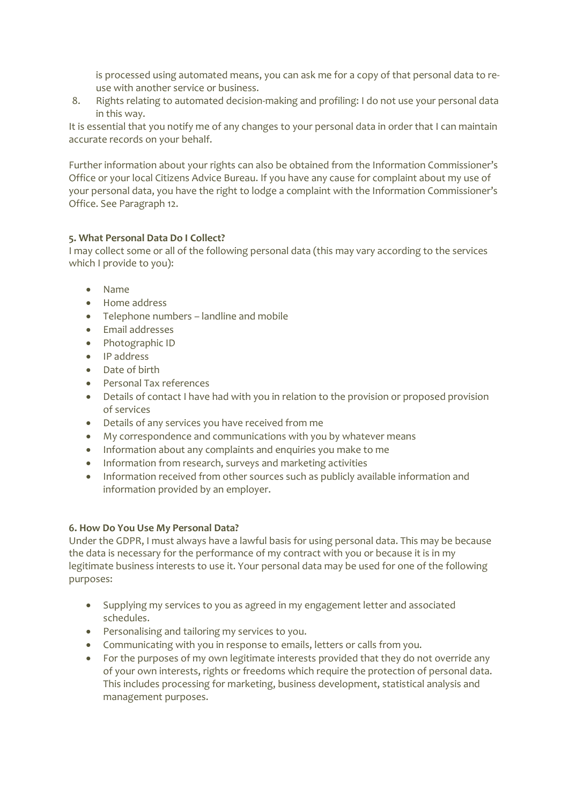is processed using automated means, you can ask me for a copy of that personal data to reuse with another service or business.

8. Rights relating to automated decision-making and profiling: I do not use your personal data in this way.

It is essential that you notify me of any changes to your personal data in order that I can maintain accurate records on your behalf.

Further information about your rights can also be obtained from the Information Commissioner's Office or your local Citizens Advice Bureau. If you have any cause for complaint about my use of your personal data, you have the right to lodge a complaint with the Information Commissioner's Office. See Paragraph 12.

# **5. What Personal Data Do I Collect?**

I may collect some or all of the following personal data (this may vary according to the services which I provide to you):

- Name
- Home address
- Telephone numbers landline and mobile
- Email addresses
- Photographic ID
- IP address
- Date of birth
- Personal Tax references
- Details of contact I have had with you in relation to the provision or proposed provision of services
- Details of any services you have received from me
- My correspondence and communications with you by whatever means
- Information about any complaints and enquiries you make to me
- Information from research, surveys and marketing activities
- Information received from other sources such as publicly available information and information provided by an employer.

# **6. How Do You Use My Personal Data?**

Under the GDPR, I must always have a lawful basis for using personal data. This may be because the data is necessary for the performance of my contract with you or because it is in my legitimate business interests to use it. Your personal data may be used for one of the following purposes:

- Supplying my services to you as agreed in my engagement letter and associated schedules.
- Personalising and tailoring my services to you.
- Communicating with you in response to emails, letters or calls from you.
- For the purposes of my own legitimate interests provided that they do not override any of your own interests, rights or freedoms which require the protection of personal data. This includes processing for marketing, business development, statistical analysis and management purposes.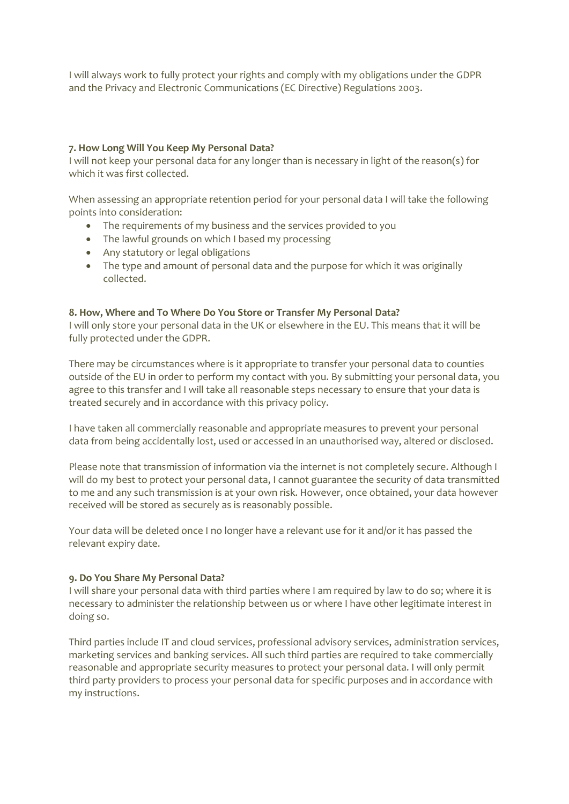I will always work to fully protect your rights and comply with my obligations under the GDPR and the Privacy and Electronic Communications (EC Directive) Regulations 2003.

## **7. How Long Will You Keep My Personal Data?**

I will not keep your personal data for any longer than is necessary in light of the reason(s) for which it was first collected.

When assessing an appropriate retention period for your personal data I will take the following points into consideration:

- The requirements of my business and the services provided to you
- The lawful grounds on which I based my processing
- Any statutory or legal obligations
- The type and amount of personal data and the purpose for which it was originally collected.

### **8. How, Where and To Where Do You Store or Transfer My Personal Data?**

I will only store your personal data in the UK or elsewhere in the EU. This means that it will be fully protected under the GDPR.

There may be circumstances where is it appropriate to transfer your personal data to counties outside of the EU in order to perform my contact with you. By submitting your personal data, you agree to this transfer and I will take all reasonable steps necessary to ensure that your data is treated securely and in accordance with this privacy policy.

I have taken all commercially reasonable and appropriate measures to prevent your personal data from being accidentally lost, used or accessed in an unauthorised way, altered or disclosed.

Please note that transmission of information via the internet is not completely secure. Although I will do my best to protect your personal data, I cannot guarantee the security of data transmitted to me and any such transmission is at your own risk. However, once obtained, your data however received will be stored as securely as is reasonably possible.

Your data will be deleted once I no longer have a relevant use for it and/or it has passed the relevant expiry date.

### **9. Do You Share My Personal Data?**

I will share your personal data with third parties where I am required by law to do so; where it is necessary to administer the relationship between us or where I have other legitimate interest in doing so.

Third parties include IT and cloud services, professional advisory services, administration services, marketing services and banking services. All such third parties are required to take commercially reasonable and appropriate security measures to protect your personal data. I will only permit third party providers to process your personal data for specific purposes and in accordance with my instructions.